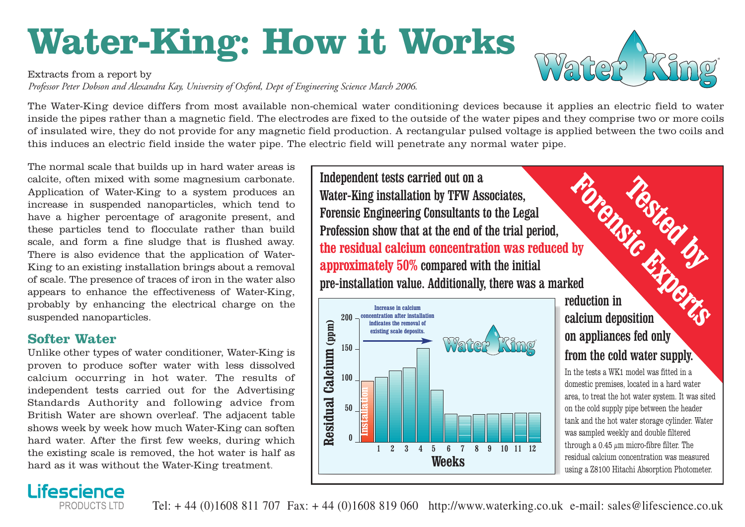# **Water-King: How it Works**

Extracts from a report by

*Professor Peter Dobson and Alexandra Kay, University of Oxford, Dept of Engineering Science March 2006.*

The Water-King device differs from most available non-chemical water conditioning devices because it applies an electric field to water inside the pipes rather than a magnetic field. The electrodes are fixed to the outside of the water pipes and they comprise two or more coils of insulated wire, they do not provide for any magnetic field production. A rectangular pulsed voltage is applied between the two coils and this induces an electric field inside the water pipe. The electric field will penetrate any normal water pipe.

The normal scale that builds up in hard water areas is calcite, often mixed with some magnesium carbonate. Application of Water-King to a system produces an increase in suspended nanoparticles, which tend to have a higher percentage of aragonite present, and these particles tend to flocculate rather than build scale, and form a fine sludge that is flushed away. There is also evidence that the application of Water-King to an existing installation brings about a removal of scale. The presence of traces of iron in the water also appears to enhance the effectiveness of Water-King, probably by enhancing the electrical charge on the suspended nanoparticles.

#### **Softer Water**

Unlike other types of water conditioner, Water-King is proven to produce softer water with less dissolved calcium occurring in hot water. The results of independent tests carried out for the Advertising Standards Authority and following advice from British Water are shown overleaf. The adjacent table shows week by week how much Water-King can soften hard water. After the first few weeks, during which the existing scale is removed, the hot water is half as hard as it was without the Water-King treatment.

Independent tests carried out on a Water-King installation by TFW Associates, Forensic Engineering Consultants to the Legal Profession show that at the end of the trial period, **the residual calcium concentration was reduced by approximately 50%** compared with the initial pre-installation value. Additionally, there was a marked



## reduction in calcium deposition on appliances fed only from the cold water supply. **Forensical CESTED**

In the tests a WK1 model was fitted in a domestic premises, located in a hard water area, to treat the hot water system. It was sited on the cold supply pipe between the header tank and the hot water storage cylinder. Water was sampled weekly and double filtered through a 0.45  $\mu$ m micro-fibre filter. The residual calcium concentration was measured using a Z8100 Hitachi Absorption Photometer.